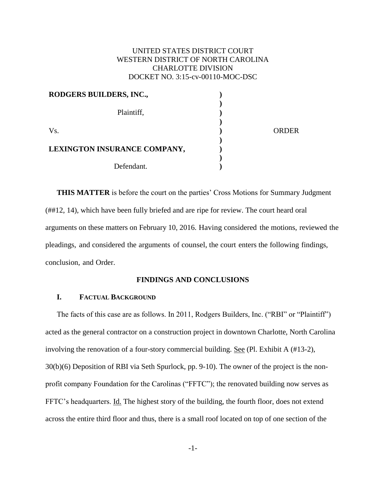# UNITED STATES DISTRICT COURT WESTERN DISTRICT OF NORTH CAROLINA CHARLOTTE DIVISION DOCKET NO. 3:15-cv-00110-MOC-DSC

| RODGERS BUILDERS, INC.,      |       |
|------------------------------|-------|
| Plaintiff,                   |       |
| Vs.                          | ORDER |
| LEXINGTON INSURANCE COMPANY, |       |
| Defendant.                   |       |

**THIS MATTER** is before the court on the parties' Cross Motions for Summary Judgment (##12, 14), which have been fully briefed and are ripe for review. The court heard oral arguments on these matters on February 10, 2016. Having considered the motions, reviewed the pleadings, and considered the arguments of counsel, the court enters the following findings, conclusion, and Order.

### **FINDINGS AND CONCLUSIONS**

### **I. FACTUAL BACKGROUND**

The facts of this case are as follows. In 2011, Rodgers Builders, Inc. ("RBI" or "Plaintiff") acted as the general contractor on a construction project in downtown Charlotte, North Carolina involving the renovation of a four-story commercial building. See (Pl. Exhibit A (#13-2), 30(b)(6) Deposition of RBI via Seth Spurlock, pp. 9-10). The owner of the project is the nonprofit company Foundation for the Carolinas ("FFTC"); the renovated building now serves as FFTC's headquarters. **Id.** The highest story of the building, the fourth floor, does not extend across the entire third floor and thus, there is a small roof located on top of one section of the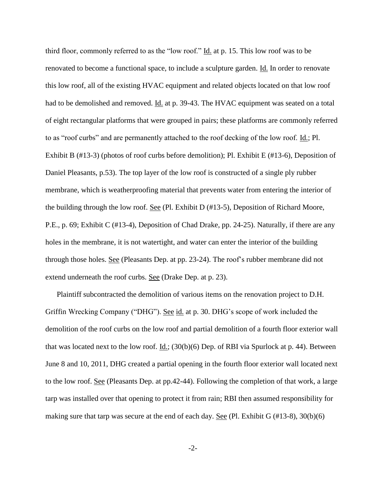third floor, commonly referred to as the "low roof." Id. at p. 15. This low roof was to be renovated to become a functional space, to include a sculpture garden. Id. In order to renovate this low roof, all of the existing HVAC equipment and related objects located on that low roof had to be demolished and removed. Id. at p. 39-43. The HVAC equipment was seated on a total of eight rectangular platforms that were grouped in pairs; these platforms are commonly referred to as "roof curbs" and are permanently attached to the roof decking of the low roof. Id.; Pl. Exhibit B (#13-3) (photos of roof curbs before demolition); Pl. Exhibit E (#13-6), Deposition of Daniel Pleasants, p.53). The top layer of the low roof is constructed of a single ply rubber membrane, which is weatherproofing material that prevents water from entering the interior of the building through the low roof. See (Pl. Exhibit D (#13-5), Deposition of Richard Moore, P.E., p. 69; Exhibit C (#13-4), Deposition of Chad Drake, pp. 24-25). Naturally, if there are any holes in the membrane, it is not watertight, and water can enter the interior of the building through those holes. See (Pleasants Dep. at pp. 23-24). The roof's rubber membrane did not extend underneath the roof curbs. See (Drake Dep. at p. 23).

Plaintiff subcontracted the demolition of various items on the renovation project to D.H. Griffin Wrecking Company ("DHG"). See id. at p. 30. DHG's scope of work included the demolition of the roof curbs on the low roof and partial demolition of a fourth floor exterior wall that was located next to the low roof. Id.; (30(b)(6) Dep. of RBI via Spurlock at p. 44). Between June 8 and 10, 2011, DHG created a partial opening in the fourth floor exterior wall located next to the low roof. See (Pleasants Dep. at pp.42-44). Following the completion of that work, a large tarp was installed over that opening to protect it from rain; RBI then assumed responsibility for making sure that tarp was secure at the end of each day. See (Pl. Exhibit G  $(\text{\#13-8}), 30(b)(6)$ )

-2-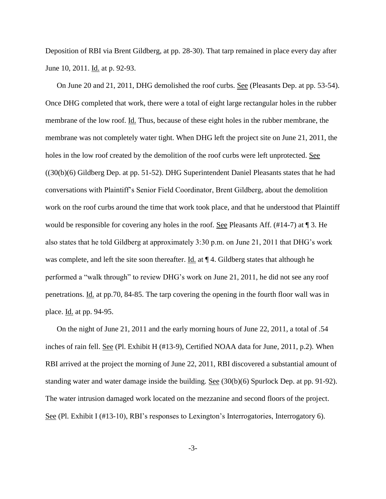Deposition of RBI via Brent Gildberg, at pp. 28-30). That tarp remained in place every day after June 10, 2011. <u>Id.</u> at p. 92-93.

On June 20 and 21, 2011, DHG demolished the roof curbs. See (Pleasants Dep. at pp. 53-54). Once DHG completed that work, there were a total of eight large rectangular holes in the rubber membrane of the low roof. Id. Thus, because of these eight holes in the rubber membrane, the membrane was not completely water tight. When DHG left the project site on June 21, 2011, the holes in the low roof created by the demolition of the roof curbs were left unprotected. See ((30(b)(6) Gildberg Dep. at pp. 51-52). DHG Superintendent Daniel Pleasants states that he had conversations with Plaintiff's Senior Field Coordinator, Brent Gildberg, about the demolition work on the roof curbs around the time that work took place, and that he understood that Plaintiff would be responsible for covering any holes in the roof. <u>See</u> Pleasants Aff. (#14-7) at 1 3. He also states that he told Gildberg at approximately 3:30 p.m. on June 21, 2011 that DHG's work was complete, and left the site soon thereafter.  $\underline{Id}$  at  $\P$  4. Gildberg states that although he performed a "walk through" to review DHG's work on June 21, 2011, he did not see any roof penetrations. Id. at pp.70, 84-85. The tarp covering the opening in the fourth floor wall was in place. Id. at pp. 94-95.

On the night of June 21, 2011 and the early morning hours of June 22, 2011, a total of .54 inches of rain fell. See (Pl. Exhibit H (#13-9), Certified NOAA data for June, 2011, p.2). When RBI arrived at the project the morning of June 22, 2011, RBI discovered a substantial amount of standing water and water damage inside the building. See (30(b)(6) Spurlock Dep. at pp. 91-92). The water intrusion damaged work located on the mezzanine and second floors of the project. See (Pl. Exhibit I (#13-10), RBI's responses to Lexington's Interrogatories, Interrogatory 6).

-3-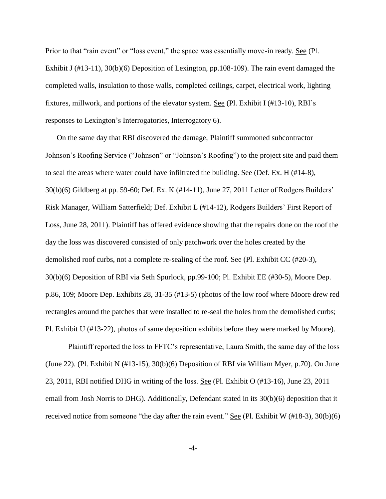Prior to that "rain event" or "loss event," the space was essentially move-in ready. See (Pl. Exhibit J (#13-11), 30(b)(6) Deposition of Lexington, pp.108-109). The rain event damaged the completed walls, insulation to those walls, completed ceilings, carpet, electrical work, lighting fixtures, millwork, and portions of the elevator system. See (Pl. Exhibit I (#13-10), RBI's responses to Lexington's Interrogatories, Interrogatory 6).

On the same day that RBI discovered the damage, Plaintiff summoned subcontractor Johnson's Roofing Service ("Johnson" or "Johnson's Roofing") to the project site and paid them to seal the areas where water could have infiltrated the building. See (Def. Ex. H (#14-8), 30(b)(6) Gildberg at pp. 59-60; Def. Ex. K (#14-11), June 27, 2011 Letter of Rodgers Builders' Risk Manager, William Satterfield; Def. Exhibit L (#14-12), Rodgers Builders' First Report of Loss, June 28, 2011). Plaintiff has offered evidence showing that the repairs done on the roof the day the loss was discovered consisted of only patchwork over the holes created by the demolished roof curbs, not a complete re-sealing of the roof. <u>See</u> (Pl. Exhibit CC (#20-3), 30(b)(6) Deposition of RBI via Seth Spurlock, pp.99-100; Pl. Exhibit EE (#30-5), Moore Dep. p.86, 109; Moore Dep. Exhibits 28, 31-35 (#13-5) (photos of the low roof where Moore drew red rectangles around the patches that were installed to re-seal the holes from the demolished curbs; Pl. Exhibit U (#13-22), photos of same deposition exhibits before they were marked by Moore).

Plaintiff reported the loss to FFTC's representative, Laura Smith, the same day of the loss (June 22). (Pl. Exhibit N (#13-15), 30(b)(6) Deposition of RBI via William Myer, p.70). On June 23, 2011, RBI notified DHG in writing of the loss. See (Pl. Exhibit O (#13-16), June 23, 2011 email from Josh Norris to DHG). Additionally, Defendant stated in its 30(b)(6) deposition that it received notice from someone "the day after the rain event." See (Pl. Exhibit W (#18-3), 30(b)(6)

-4-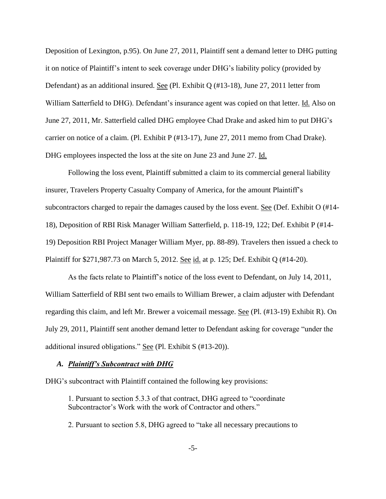Deposition of Lexington, p.95). On June 27, 2011, Plaintiff sent a demand letter to DHG putting it on notice of Plaintiff's intent to seek coverage under DHG's liability policy (provided by Defendant) as an additional insured. See (Pl. Exhibit Q (#13-18), June 27, 2011 letter from William Satterfield to DHG). Defendant's insurance agent was copied on that letter. Id. Also on June 27, 2011, Mr. Satterfield called DHG employee Chad Drake and asked him to put DHG's carrier on notice of a claim. (Pl. Exhibit P (#13-17), June 27, 2011 memo from Chad Drake). DHG employees inspected the loss at the site on June 23 and June 27. Id.

Following the loss event, Plaintiff submitted a claim to its commercial general liability insurer, Travelers Property Casualty Company of America, for the amount Plaintiff's subcontractors charged to repair the damages caused by the loss event. See (Def. Exhibit O (#14- 18), Deposition of RBI Risk Manager William Satterfield, p. 118-19, 122; Def. Exhibit P (#14- 19) Deposition RBI Project Manager William Myer, pp. 88-89). Travelers then issued a check to Plaintiff for \$271,987.73 on March 5, 2012. <u>See id.</u> at p. 125; Def. Exhibit Q (#14-20).

As the facts relate to Plaintiff's notice of the loss event to Defendant, on July 14, 2011, William Satterfield of RBI sent two emails to William Brewer, a claim adjuster with Defendant regarding this claim, and left Mr. Brewer a voicemail message. See (Pl. (#13-19) Exhibit R). On July 29, 2011, Plaintiff sent another demand letter to Defendant asking for coverage "under the additional insured obligations." See (Pl. Exhibit S (#13-20)).

#### *A. Plaintiff's Subcontract with DHG*

DHG's subcontract with Plaintiff contained the following key provisions:

1. Pursuant to section 5.3.3 of that contract, DHG agreed to "coordinate Subcontractor's Work with the work of Contractor and others."

2. Pursuant to section 5.8, DHG agreed to "take all necessary precautions to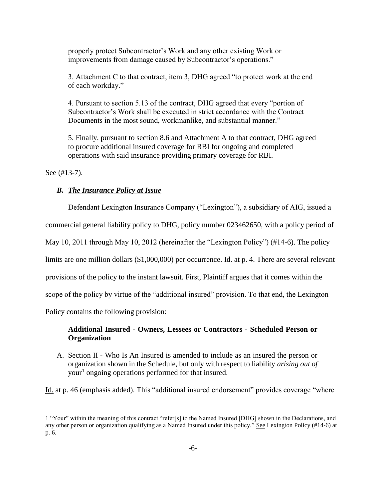properly protect Subcontractor's Work and any other existing Work or improvements from damage caused by Subcontractor's operations."

3. Attachment C to that contract, item 3, DHG agreed "to protect work at the end of each workday."

4. Pursuant to section 5.13 of the contract, DHG agreed that every "portion of Subcontractor's Work shall be executed in strict accordance with the Contract Documents in the most sound, workmanlike, and substantial manner."

5. Finally, pursuant to section 8.6 and Attachment A to that contract, DHG agreed to procure additional insured coverage for RBI for ongoing and completed operations with said insurance providing primary coverage for RBI.

See  $(\text{\#}13-7)$ .

 $\overline{a}$ 

## *B. The Insurance Policy at Issue*

Defendant Lexington Insurance Company ("Lexington"), a subsidiary of AIG, issued a commercial general liability policy to DHG, policy number 023462650, with a policy period of May 10, 2011 through May 10, 2012 (hereinafter the "Lexington Policy") (#14-6). The policy limits are one million dollars (\$1,000,000) per occurrence. <u>Id.</u> at p. 4. There are several relevant provisions of the policy to the instant lawsuit. First, Plaintiff argues that it comes within the scope of the policy by virtue of the "additional insured" provision. To that end, the Lexington Policy contains the following provision:

# **Additional Insured - Owners, Lessees or Contractors - Scheduled Person or Organization**

A. Section II - Who Is An Insured is amended to include as an insured the person or organization shown in the Schedule, but only with respect to liability *arising out of*  your<sup>1</sup> ongoing operations performed for that insured.

Id. at p. 46 (emphasis added). This "additional insured endorsement" provides coverage "where

<sup>1</sup> "Your" within the meaning of this contract "refer[s] to the Named Insured [DHG] shown in the Declarations, and any other person or organization qualifying as a Named Insured under this policy." See Lexington Policy (#14-6) at p. 6.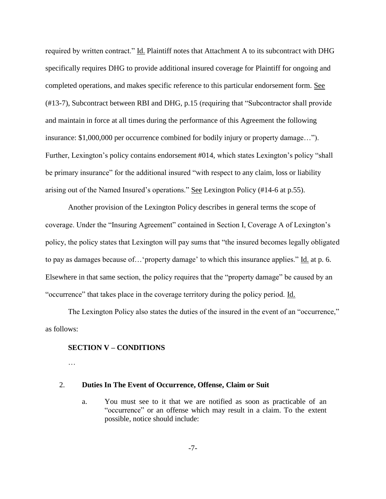required by written contract." Id. Plaintiff notes that Attachment A to its subcontract with DHG specifically requires DHG to provide additional insured coverage for Plaintiff for ongoing and completed operations, and makes specific reference to this particular endorsement form. See (#13-7), Subcontract between RBI and DHG, p.15 (requiring that "Subcontractor shall provide and maintain in force at all times during the performance of this Agreement the following insurance: \$1,000,000 per occurrence combined for bodily injury or property damage…"). Further, Lexington's policy contains endorsement #014, which states Lexington's policy "shall be primary insurance" for the additional insured "with respect to any claim, loss or liability arising out of the Named Insured's operations." See Lexington Policy (#14-6 at p.55).

Another provision of the Lexington Policy describes in general terms the scope of coverage. Under the "Insuring Agreement" contained in Section I, Coverage A of Lexington's policy, the policy states that Lexington will pay sums that "the insured becomes legally obligated to pay as damages because of... 'property damage' to which this insurance applies." Id. at p. 6. Elsewhere in that same section, the policy requires that the "property damage" be caused by an "occurrence" that takes place in the coverage territory during the policy period. Id.

The Lexington Policy also states the duties of the insured in the event of an "occurrence," as follows:

#### **SECTION V – CONDITIONS**

…

#### 2. **Duties In The Event of Occurrence, Offense, Claim or Suit**

a. You must see to it that we are notified as soon as practicable of an "occurrence" or an offense which may result in a claim. To the extent possible, notice should include: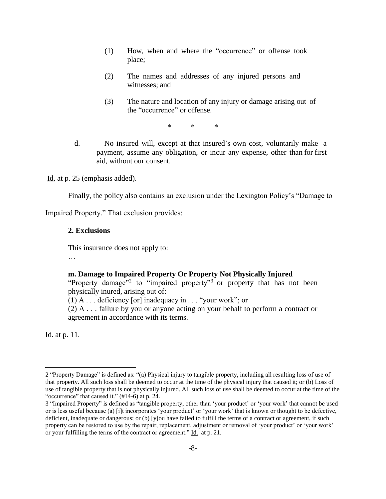- (1) How, when and where the "occurrence" or offense took place;
- (2) The names and addresses of any injured persons and witnesses; and
- (3) The nature and location of any injury or damage arising out of the "occurrence" or offense.

\* \* \*

d.No insured will, except at that insured's own cost, voluntarily make a payment, assume any obligation, or incur any expense, other than for first aid, without our consent.

Id. at p. 25 (emphasis added).

Finally, the policy also contains an exclusion under the Lexington Policy's "Damage to

Impaired Property." That exclusion provides:

### **2. Exclusions**

This insurance does not apply to:

…

### **m. Damage to Impaired Property Or Property Not Physically Injured**

"Property damage"<sup>2</sup> to "impaired property"<sup>3</sup> or property that has not been physically inured, arising out of:

 $(1)$  A ... deficiency [or] inadequacy in ... "your work"; or

(2) A . . . failure by you or anyone acting on your behalf to perform a contract or agreement in accordance with its terms.

Id. at p. 11.

 $\overline{a}$ 

<sup>2</sup> "Property Damage" is defined as: "(a) Physical injury to tangible property, including all resulting loss of use of that property. All such loss shall be deemed to occur at the time of the physical injury that caused it; or (b) Loss of use of tangible property that is not physically injured. All such loss of use shall be deemed to occur at the time of the "occurrence" that caused it." (#14-6) at p. 24.

<sup>3</sup> "Impaired Property" is defined as "tangible property, other than 'your product' or 'your work' that cannot be used or is less useful because (a) [i]t incorporates 'your product' or 'your work' that is known or thought to be defective, deficient, inadequate or dangerous; or (b) [y]ou have failed to fulfill the terms of a contract or agreement, if such property can be restored to use by the repair, replacement, adjustment or removal of 'your product' or 'your work' or your fulfilling the terms of the contract or agreement." Id. at p. 21.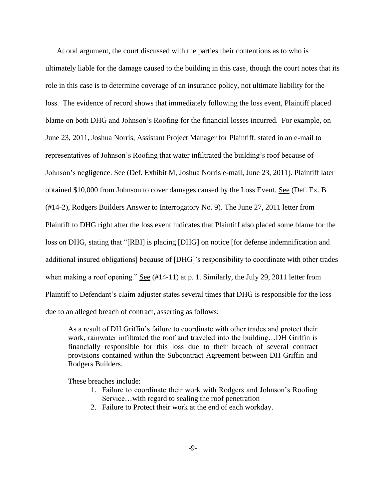At oral argument, the court discussed with the parties their contentions as to who is ultimately liable for the damage caused to the building in this case, though the court notes that its role in this case is to determine coverage of an insurance policy, not ultimate liability for the loss. The evidence of record shows that immediately following the loss event, Plaintiff placed blame on both DHG and Johnson's Roofing for the financial losses incurred. For example, on June 23, 2011, Joshua Norris, Assistant Project Manager for Plaintiff, stated in an e-mail to representatives of Johnson's Roofing that water infiltrated the building's roof because of Johnson's negligence. See (Def. Exhibit M, Joshua Norris e-mail, June 23, 2011). Plaintiff later obtained \$10,000 from Johnson to cover damages caused by the Loss Event. See (Def. Ex. B (#14-2), Rodgers Builders Answer to Interrogatory No. 9). The June 27, 2011 letter from Plaintiff to DHG right after the loss event indicates that Plaintiff also placed some blame for the loss on DHG, stating that "[RBI] is placing [DHG] on notice [for defense indemnification and additional insured obligations] because of [DHG]'s responsibility to coordinate with other trades when making a roof opening." See (#14-11) at p. 1. Similarly, the July 29, 2011 letter from Plaintiff to Defendant's claim adjuster states several times that DHG is responsible for the loss due to an alleged breach of contract, asserting as follows:

As a result of DH Griffin's failure to coordinate with other trades and protect their work, rainwater infiltrated the roof and traveled into the building…DH Griffin is financially responsible for this loss due to their breach of several contract provisions contained within the Subcontract Agreement between DH Griffin and Rodgers Builders.

These breaches include:

- 1. Failure to coordinate their work with Rodgers and Johnson's Roofing Service…with regard to sealing the roof penetration
- 2. Failure to Protect their work at the end of each workday.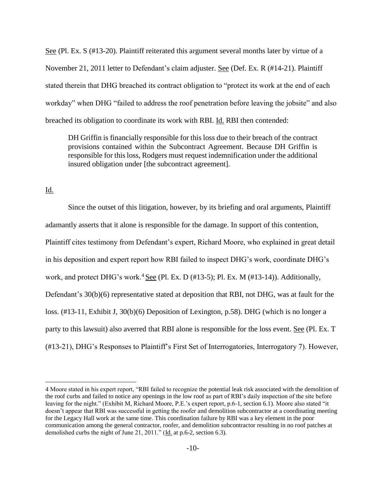See (Pl. Ex. S (#13-20). Plaintiff reiterated this argument several months later by virtue of a November 21, 2011 letter to Defendant's claim adjuster. See (Def. Ex. R (#14-21). Plaintiff stated therein that DHG breached its contract obligation to "protect its work at the end of each workday" when DHG "failed to address the roof penetration before leaving the jobsite" and also breached its obligation to coordinate its work with RBI. Id. RBI then contended:

DH Griffin is financially responsible for this loss due to their breach of the contract provisions contained within the Subcontract Agreement. Because DH Griffin is responsible for this loss, Rodgers must request indemnification under the additional insured obligation under [the subcontract agreement].

#### Id.

 $\overline{a}$ 

Since the outset of this litigation, however, by its briefing and oral arguments, Plaintiff adamantly asserts that it alone is responsible for the damage. In support of this contention, Plaintiff cites testimony from Defendant's expert, Richard Moore, who explained in great detail in his deposition and expert report how RBI failed to inspect DHG's work, coordinate DHG's work, and protect DHG's work.<sup>4</sup> See (Pl. Ex. D (#13-5); Pl. Ex. M (#13-14)). Additionally, Defendant's 30(b)(6) representative stated at deposition that RBI, not DHG, was at fault for the loss. (#13-11, Exhibit J, 30(b)(6) Deposition of Lexington, p.58). DHG (which is no longer a party to this lawsuit) also averred that RBI alone is responsible for the loss event. See (Pl. Ex. T (#13-21), DHG's Responses to Plaintiff's First Set of Interrogatories, Interrogatory 7). However,

<sup>4</sup> Moore stated in his expert report, "RBI failed to recognize the potential leak risk associated with the demolition of the roof curbs and failed to notice any openings in the low roof as part of RBI's daily inspection of the site before leaving for the night." (Exhibit M, Richard Moore, P.E.'s expert report, p.6-1, section 6.1). Moore also stated "it doesn't appear that RBI was successful in getting the roofer and demolition subcontractor at a coordinating meeting for the Legacy Hall work at the same time. This coordination failure by RBI was a key element in the poor communication among the general contractor, roofer, and demolition subcontractor resulting in no roof patches at demolished curbs the night of June 21, 2011." (Id. at p.6-2, section 6.3).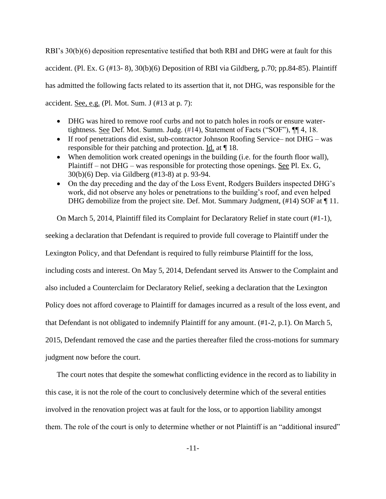RBI's 30(b)(6) deposition representative testified that both RBI and DHG were at fault for this accident. (Pl. Ex. G (#13- 8), 30(b)(6) Deposition of RBI via Gildberg, p.70; pp.84-85). Plaintiff has admitted the following facts related to its assertion that it, not DHG, was responsible for the accident. See, e.g. (Pl. Mot. Sum. J (#13 at p. 7):

- DHG was hired to remove roof curbs and not to patch holes in roofs or ensure watertightness. See Def. Mot. Summ. Judg. (#14), Statement of Facts ("SOF"), ¶¶ 4, 18.
- If roof penetrations did exist, sub-contractor Johnson Roofing Service– not DHG was responsible for their patching and protection. Id. at ¶ 18.
- When demolition work created openings in the building (i.e. for the fourth floor wall), Plaintiff – not DHG – was responsible for protecting those openings. See Pl. Ex. G, 30(b)(6) Dep. via Gildberg (#13-8) at p. 93-94.
- On the day preceding and the day of the Loss Event, Rodgers Builders inspected DHG's work, did not observe any holes or penetrations to the building's roof, and even helped DHG demobilize from the project site. Def. Mot. Summary Judgment, (#14) SOF at ¶ 11.

On March 5, 2014, Plaintiff filed its Complaint for Declaratory Relief in state court (#1-1),

seeking a declaration that Defendant is required to provide full coverage to Plaintiff under the

Lexington Policy, and that Defendant is required to fully reimburse Plaintiff for the loss,

including costs and interest. On May 5, 2014, Defendant served its Answer to the Complaint and

also included a Counterclaim for Declaratory Relief, seeking a declaration that the Lexington

Policy does not afford coverage to Plaintiff for damages incurred as a result of the loss event, and

that Defendant is not obligated to indemnify Plaintiff for any amount. (#1-2, p.1). On March 5,

2015, Defendant removed the case and the parties thereafter filed the cross-motions for summary

judgment now before the court.

The court notes that despite the somewhat conflicting evidence in the record as to liability in this case, it is not the role of the court to conclusively determine which of the several entities involved in the renovation project was at fault for the loss, or to apportion liability amongst them. The role of the court is only to determine whether or not Plaintiff is an "additional insured"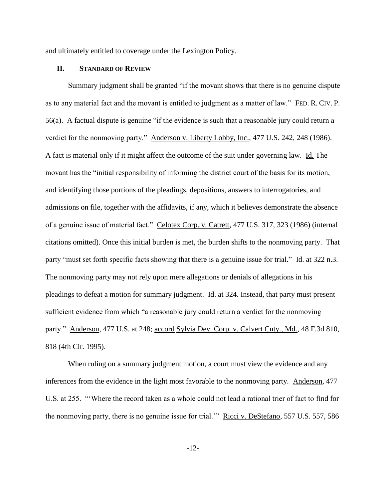and ultimately entitled to coverage under the Lexington Policy.

#### **II. STANDARD OF REVIEW**

Summary judgment shall be granted "if the movant shows that there is no genuine dispute as to any material fact and the movant is entitled to judgment as a matter of law." FED. R. CIV. P. 56(a). A factual dispute is genuine "if the evidence is such that a reasonable jury could return a verdict for the nonmoving party." Anderson v. Liberty Lobby, Inc., 477 U.S. 242, 248 (1986). A fact is material only if it might affect the outcome of the suit under governing law. Id. The movant has the "initial responsibility of informing the district court of the basis for its motion, and identifying those portions of the pleadings, depositions, answers to interrogatories, and admissions on file, together with the affidavits, if any, which it believes demonstrate the absence of a genuine issue of material fact." Celotex Corp. v. Catrett, 477 U.S. 317, 323 (1986) (internal citations omitted). Once this initial burden is met, the burden shifts to the nonmoving party. That party "must set forth specific facts showing that there is a genuine issue for trial." Id. at 322 n.3. The nonmoving party may not rely upon mere allegations or denials of allegations in his pleadings to defeat a motion for summary judgment. Id. at 324. Instead, that party must present sufficient evidence from which "a reasonable jury could return a verdict for the nonmoving party." Anderson, 477 U.S. at 248; accord Sylvia Dev. Corp. v. Calvert Cnty., Md., 48 F.3d 810, 818 (4th Cir. 1995).

When ruling on a summary judgment motion, a court must view the evidence and any inferences from the evidence in the light most favorable to the nonmoving party. Anderson, 477 U.S. at 255. "'Where the record taken as a whole could not lead a rational trier of fact to find for the nonmoving party, there is no genuine issue for trial.'" Ricci v. DeStefano, 557 U.S. 557, 586

-12-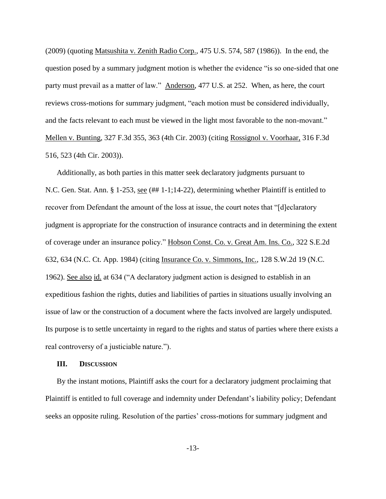(2009) (quoting Matsushita v. Zenith Radio Corp., 475 U.S. 574, 587 (1986)). In the end, the question posed by a summary judgment motion is whether the evidence "is so one-sided that one party must prevail as a matter of law." Anderson, 477 U.S. at 252. When, as here, the court reviews cross-motions for summary judgment, "each motion must be considered individually, and the facts relevant to each must be viewed in the light most favorable to the non-movant." Mellen v. Bunting, 327 F.3d 355, 363 (4th Cir. 2003) (citing Rossignol v. Voorhaar, 316 F.3d 516, 523 (4th Cir. 2003)).

Additionally, as both parties in this matter seek declaratory judgments pursuant to N.C. Gen. Stat. Ann. § 1-253, see (## 1-1;14-22), determining whether Plaintiff is entitled to recover from Defendant the amount of the loss at issue, the court notes that "[d]eclaratory judgment is appropriate for the construction of insurance contracts and in determining the extent of coverage under an insurance policy." Hobson Const. Co. v. Great Am. Ins. Co., 322 S.E.2d 632, 634 (N.C. Ct. App. 1984) (citing Insurance Co. v. Simmons, Inc.*,* 128 S.W.2d 19 (N.C. 1962). See also id. at 634 ("A declaratory judgment action is designed to establish in an expeditious fashion the rights, duties and liabilities of parties in situations usually involving an issue of law or the construction of a document where the facts involved are largely undisputed. Its purpose is to settle uncertainty in regard to the rights and status of parties where there exists a real controversy of a justiciable nature.").

### **III. DISCUSSION**

By the instant motions, Plaintiff asks the court for a declaratory judgment proclaiming that Plaintiff is entitled to full coverage and indemnity under Defendant's liability policy; Defendant seeks an opposite ruling. Resolution of the parties' cross-motions for summary judgment and

-13-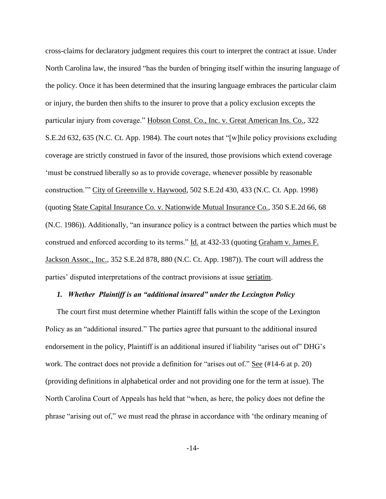cross-claims for declaratory judgment requires this court to interpret the contract at issue. Under North Carolina law, the insured "has the burden of bringing itself within the insuring language of the policy. Once it has been determined that the insuring language embraces the particular claim or injury, the burden then shifts to the insurer to prove that a policy exclusion excepts the particular injury from coverage." Hobson Const. Co., Inc. v. Great American Ins. Co., 322 S.E.2d 632, 635 (N.C. Ct. App. 1984). The court notes that "[w]hile policy provisions excluding coverage are strictly construed in favor of the insured, those provisions which extend coverage 'must be construed liberally so as to provide coverage, whenever possible by reasonable construction.'" City of Greenville v. Haywood, 502 S.E.2d 430, 433 (N.C. Ct. App. 1998) (quoting State Capital Insurance Co. v. Nationwide Mutual Insurance Co.*,* 350 S.E.2d 66, 68 (N.C. 1986)). Additionally, "an insurance policy is a contract between the parties which must be construed and enforced according to its terms." Id. at 432-33 (quoting Graham v. James F. Jackson Assoc., Inc.*,* 352 S.E.2d 878, 880 (N.C. Ct. App. 1987)). The court will address the parties' disputed interpretations of the contract provisions at issue seriatim.

### *1. Whether Plaintiff is an "additional insured" under the Lexington Policy*

The court first must determine whether Plaintiff falls within the scope of the Lexington Policy as an "additional insured." The parties agree that pursuant to the additional insured endorsement in the policy, Plaintiff is an additional insured if liability "arises out of" DHG's work. The contract does not provide a definition for "arises out of." See (#14-6 at p. 20) (providing definitions in alphabetical order and not providing one for the term at issue). The North Carolina Court of Appeals has held that "when, as here, the policy does not define the phrase "arising out of," we must read the phrase in accordance with 'the ordinary meaning of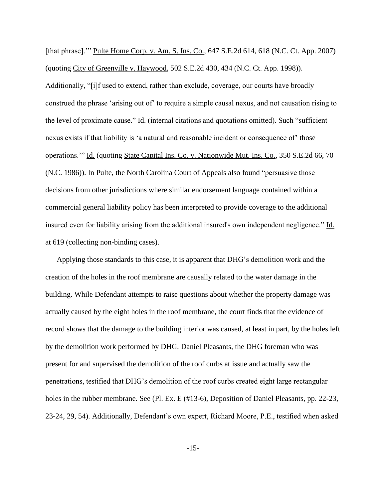[that phrase].'" Pulte Home Corp. v. Am. S. Ins. Co., 647 S.E.2d 614, 618 (N.C. Ct. App. 2007) (quoting City of Greenville v. Haywood, 502 S.E.2d 430, 434 (N.C. Ct. App. 1998)). Additionally, "[i]f used to extend, rather than exclude, coverage, our courts have broadly construed the phrase 'arising out of' to require a simple causal nexus, and not causation rising to the level of proximate cause." Id. (internal citations and quotations omitted). Such "sufficient nexus exists if that liability is 'a natural and reasonable incident or consequence of' those operations.'" Id. (quoting State Capital Ins. Co. v. Nationwide Mut. Ins. Co., 350 S.E.2d 66, 70 (N.C. 1986)). In Pulte, the North Carolina Court of Appeals also found "persuasive those decisions from other jurisdictions where similar endorsement language contained within a commercial general liability policy has been interpreted to provide coverage to the additional insured even for liability arising from the additional insured's own independent negligence." Id. at 619 (collecting non-binding cases).

Applying those standards to this case, it is apparent that DHG's demolition work and the creation of the holes in the roof membrane are causally related to the water damage in the building. While Defendant attempts to raise questions about whether the property damage was actually caused by the eight holes in the roof membrane, the court finds that the evidence of record shows that the damage to the building interior was caused, at least in part, by the holes left by the demolition work performed by DHG. Daniel Pleasants, the DHG foreman who was present for and supervised the demolition of the roof curbs at issue and actually saw the penetrations, testified that DHG's demolition of the roof curbs created eight large rectangular holes in the rubber membrane. See (Pl. Ex. E (#13-6), Deposition of Daniel Pleasants, pp. 22-23, 23-24, 29, 54). Additionally, Defendant's own expert, Richard Moore, P.E., testified when asked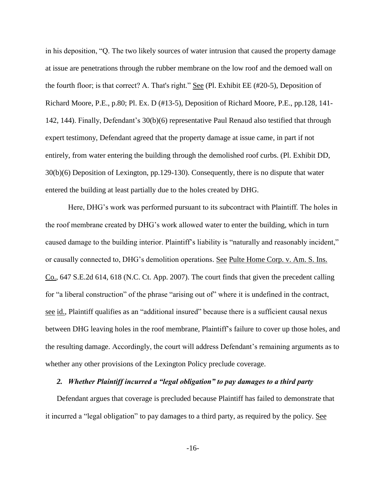in his deposition, "Q. The two likely sources of water intrusion that caused the property damage at issue are penetrations through the rubber membrane on the low roof and the demoed wall on the fourth floor; is that correct? A. That's right." See (Pl. Exhibit EE (#20-5), Deposition of Richard Moore, P.E., p.80; Pl. Ex. D (#13-5), Deposition of Richard Moore, P.E., pp.128, 141- 142, 144). Finally, Defendant's 30(b)(6) representative Paul Renaud also testified that through expert testimony, Defendant agreed that the property damage at issue came, in part if not entirely, from water entering the building through the demolished roof curbs. (Pl. Exhibit DD, 30(b)(6) Deposition of Lexington, pp.129-130). Consequently, there is no dispute that water entered the building at least partially due to the holes created by DHG.

Here, DHG's work was performed pursuant to its subcontract with Plaintiff. The holes in the roof membrane created by DHG's work allowed water to enter the building, which in turn caused damage to the building interior. Plaintiff's liability is "naturally and reasonably incident," or causally connected to, DHG's demolition operations. See Pulte Home Corp. v. Am. S. Ins. Co., 647 S.E.2d 614, 618 (N.C. Ct. App. 2007). The court finds that given the precedent calling for "a liberal construction" of the phrase "arising out of" where it is undefined in the contract, see id., Plaintiff qualifies as an "additional insured" because there is a sufficient causal nexus between DHG leaving holes in the roof membrane, Plaintiff's failure to cover up those holes, and the resulting damage. Accordingly, the court will address Defendant's remaining arguments as to whether any other provisions of the Lexington Policy preclude coverage.

# *2. Whether Plaintiff incurred a "legal obligation" to pay damages to a third party*

Defendant argues that coverage is precluded because Plaintiff has failed to demonstrate that it incurred a "legal obligation" to pay damages to a third party, as required by the policy. See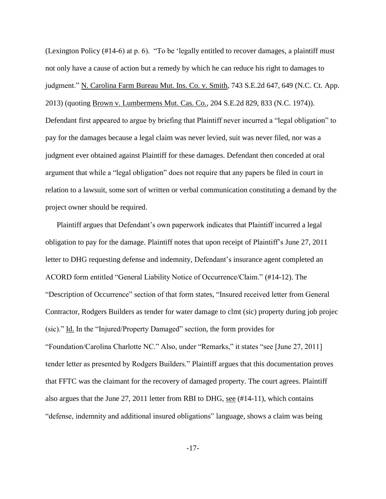(Lexington Policy (#14-6) at p. 6). "To be 'legally entitled to recover damages, a plaintiff must not only have a cause of action but a remedy by which he can reduce his right to damages to judgment." N. Carolina Farm Bureau Mut. Ins. Co. v. Smith, 743 S.E.2d 647, 649 (N.C. Ct. App. 2013) (quoting Brown v. Lumbermens Mut. Cas. Co.*,* 204 S.E.2d 829, 833 (N.C. 1974)). Defendant first appeared to argue by briefing that Plaintiff never incurred a "legal obligation" to pay for the damages because a legal claim was never levied, suit was never filed, nor was a judgment ever obtained against Plaintiff for these damages. Defendant then conceded at oral argument that while a "legal obligation" does not require that any papers be filed in court in relation to a lawsuit, some sort of written or verbal communication constituting a demand by the project owner should be required.

Plaintiff argues that Defendant's own paperwork indicates that Plaintiff incurred a legal obligation to pay for the damage. Plaintiff notes that upon receipt of Plaintiff's June 27, 2011 letter to DHG requesting defense and indemnity, Defendant's insurance agent completed an ACORD form entitled "General Liability Notice of Occurrence/Claim." (#14-12). The "Description of Occurrence" section of that form states, "Insured received letter from General Contractor, Rodgers Builders as tender for water damage to clmt (sic) property during job projec (sic)." Id. In the "Injured/Property Damaged" section, the form provides for "Foundation/Carolina Charlotte NC." Also, under "Remarks," it states "see [June 27, 2011] tender letter as presented by Rodgers Builders." Plaintiff argues that this documentation proves that FFTC was the claimant for the recovery of damaged property. The court agrees. Plaintiff also argues that the June 27, 2011 letter from RBI to DHG, see (#14-11), which contains "defense, indemnity and additional insured obligations" language, shows a claim was being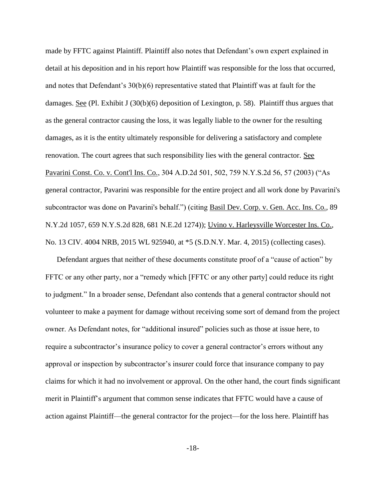made by FFTC against Plaintiff. Plaintiff also notes that Defendant's own expert explained in detail at his deposition and in his report how Plaintiff was responsible for the loss that occurred, and notes that Defendant's 30(b)(6) representative stated that Plaintiff was at fault for the damages. See (Pl. Exhibit J (30(b)(6) deposition of Lexington, p. 58). Plaintiff thus argues that as the general contractor causing the loss, it was legally liable to the owner for the resulting damages, as it is the entity ultimately responsible for delivering a satisfactory and complete renovation. The court agrees that such responsibility lies with the general contractor. See Pavarini Const. Co. v. Cont'l Ins. Co., 304 A.D.2d 501, 502, 759 N.Y.S.2d 56, 57 (2003) ("As general contractor, Pavarini was responsible for the entire project and all work done by Pavarini's subcontractor was done on Pavarini's behalf.") (citing Basil Dev. Corp. v. Gen. Acc. Ins. Co.*,* 89 N.Y.2d 1057, 659 N.Y.S.2d 828, 681 N.E.2d 1274)); Uvino v. Harleysville Worcester Ins. Co., No. 13 CIV. 4004 NRB, 2015 WL 925940, at \*5 (S.D.N.Y. Mar. 4, 2015) (collecting cases).

Defendant argues that neither of these documents constitute proof of a "cause of action" by FFTC or any other party, nor a "remedy which [FFTC or any other party] could reduce its right to judgment." In a broader sense, Defendant also contends that a general contractor should not volunteer to make a payment for damage without receiving some sort of demand from the project owner. As Defendant notes, for "additional insured" policies such as those at issue here, to require a subcontractor's insurance policy to cover a general contractor's errors without any approval or inspection by subcontractor's insurer could force that insurance company to pay claims for which it had no involvement or approval. On the other hand, the court finds significant merit in Plaintiff's argument that common sense indicates that FFTC would have a cause of action against Plaintiff—the general contractor for the project—for the loss here. Plaintiff has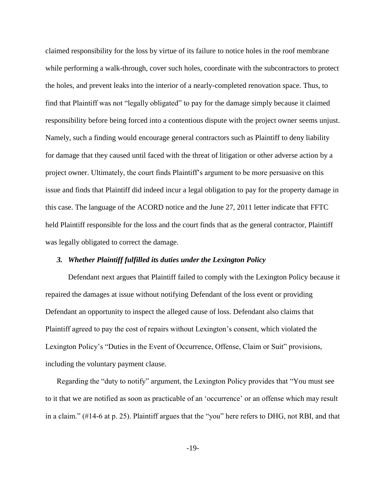claimed responsibility for the loss by virtue of its failure to notice holes in the roof membrane while performing a walk-through, cover such holes, coordinate with the subcontractors to protect the holes, and prevent leaks into the interior of a nearly-completed renovation space. Thus, to find that Plaintiff was not "legally obligated" to pay for the damage simply because it claimed responsibility before being forced into a contentious dispute with the project owner seems unjust. Namely, such a finding would encourage general contractors such as Plaintiff to deny liability for damage that they caused until faced with the threat of litigation or other adverse action by a project owner. Ultimately, the court finds Plaintiff's argument to be more persuasive on this issue and finds that Plaintiff did indeed incur a legal obligation to pay for the property damage in this case. The language of the ACORD notice and the June 27, 2011 letter indicate that FFTC held Plaintiff responsible for the loss and the court finds that as the general contractor, Plaintiff was legally obligated to correct the damage.

# *3. Whether Plaintiff fulfilled its duties under the Lexington Policy*

Defendant next argues that Plaintiff failed to comply with the Lexington Policy because it repaired the damages at issue without notifying Defendant of the loss event or providing Defendant an opportunity to inspect the alleged cause of loss. Defendant also claims that Plaintiff agreed to pay the cost of repairs without Lexington's consent, which violated the Lexington Policy's "Duties in the Event of Occurrence, Offense, Claim or Suit" provisions, including the voluntary payment clause.

Regarding the "duty to notify" argument, the Lexington Policy provides that "You must see to it that we are notified as soon as practicable of an 'occurrence' or an offense which may result in a claim." (#14-6 at p. 25). Plaintiff argues that the "you" here refers to DHG, not RBI, and that

-19-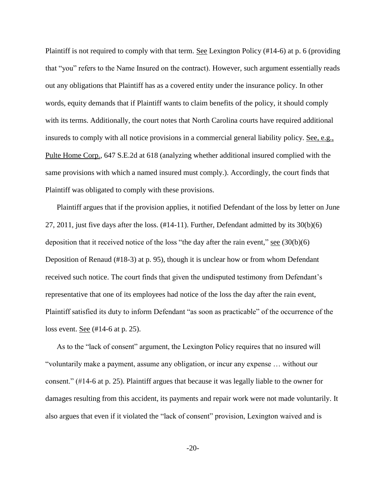Plaintiff is not required to comply with that term. See Lexington Policy (#14-6) at p. 6 (providing that "you" refers to the Name Insured on the contract). However, such argument essentially reads out any obligations that Plaintiff has as a covered entity under the insurance policy. In other words, equity demands that if Plaintiff wants to claim benefits of the policy, it should comply with its terms. Additionally, the court notes that North Carolina courts have required additional insureds to comply with all notice provisions in a commercial general liability policy. <u>See, e.g.</u>, Pulte Home Corp.*,* 647 S.E.2d at 618 (analyzing whether additional insured complied with the same provisions with which a named insured must comply.). Accordingly, the court finds that Plaintiff was obligated to comply with these provisions.

Plaintiff argues that if the provision applies, it notified Defendant of the loss by letter on June 27, 2011, just five days after the loss. (#14-11). Further, Defendant admitted by its 30(b)(6) deposition that it received notice of the loss "the day after the rain event,"  $\frac{\text{see } (30(b)(6))}{\text{Set } (6)}$ Deposition of Renaud (#18-3) at p. 95), though it is unclear how or from whom Defendant received such notice. The court finds that given the undisputed testimony from Defendant's representative that one of its employees had notice of the loss the day after the rain event, Plaintiff satisfied its duty to inform Defendant "as soon as practicable" of the occurrence of the loss event. <u>See</u> (#14-6 at p. 25).

As to the "lack of consent" argument, the Lexington Policy requires that no insured will "voluntarily make a payment, assume any obligation, or incur any expense … without our consent." (#14-6 at p. 25). Plaintiff argues that because it was legally liable to the owner for damages resulting from this accident, its payments and repair work were not made voluntarily. It also argues that even if it violated the "lack of consent" provision, Lexington waived and is

-20-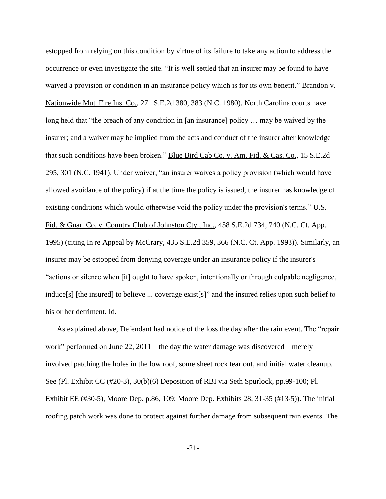estopped from relying on this condition by virtue of its failure to take any action to address the occurrence or even investigate the site. "It is well settled that an insurer may be found to have waived a provision or condition in an insurance policy which is for its own benefit." Brandon v. Nationwide Mut. Fire Ins. Co., 271 S.E.2d 380, 383 (N.C. 1980). North Carolina courts have long held that "the breach of any condition in [an insurance] policy … may be waived by the insurer; and a waiver may be implied from the acts and conduct of the insurer after knowledge that such conditions have been broken." Blue Bird Cab Co. v. Am. Fid. & Cas. Co., 15 S.E.2d 295, 301 (N.C. 1941). Under waiver, "an insurer waives a policy provision (which would have allowed avoidance of the policy) if at the time the policy is issued, the insurer has knowledge of existing conditions which would otherwise void the policy under the provision's terms."  $\underline{U.S.}$ Fid. & Guar. Co. v. Country Club of Johnston Cty., Inc., 458 S.E.2d 734, 740 (N.C. Ct. App. 1995) (citing In re Appeal by McCrary*,* 435 S.E.2d 359, 366 (N.C. Ct. App. 1993)). Similarly, an insurer may be estopped from denying coverage under an insurance policy if the insurer's "actions or silence when [it] ought to have spoken, intentionally or through culpable negligence, induce[s] [the insured] to believe ... coverage exist[s]" and the insured relies upon such belief to his or her detriment. Id.

As explained above, Defendant had notice of the loss the day after the rain event. The "repair work" performed on June 22, 2011—the day the water damage was discovered—merely involved patching the holes in the low roof, some sheet rock tear out, and initial water cleanup. See (Pl. Exhibit CC (#20-3), 30(b)(6) Deposition of RBI via Seth Spurlock, pp.99-100; Pl. Exhibit EE (#30-5), Moore Dep. p.86, 109; Moore Dep. Exhibits 28, 31-35 (#13-5)). The initial roofing patch work was done to protect against further damage from subsequent rain events. The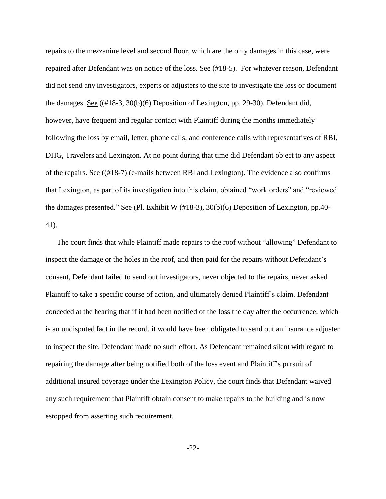repairs to the mezzanine level and second floor, which are the only damages in this case, were repaired after Defendant was on notice of the loss. See (#18-5). For whatever reason, Defendant did not send any investigators, experts or adjusters to the site to investigate the loss or document the damages. See ((#18-3, 30(b)(6) Deposition of Lexington, pp. 29-30). Defendant did, however, have frequent and regular contact with Plaintiff during the months immediately following the loss by email, letter, phone calls, and conference calls with representatives of RBI, DHG, Travelers and Lexington. At no point during that time did Defendant object to any aspect of the repairs. See ((#18-7) (e-mails between RBI and Lexington). The evidence also confirms that Lexington, as part of its investigation into this claim, obtained "work orders" and "reviewed the damages presented." See (Pl. Exhibit W (#18-3), 30(b)(6) Deposition of Lexington, pp.40- 41).

The court finds that while Plaintiff made repairs to the roof without "allowing" Defendant to inspect the damage or the holes in the roof, and then paid for the repairs without Defendant's consent, Defendant failed to send out investigators, never objected to the repairs, never asked Plaintiff to take a specific course of action, and ultimately denied Plaintiff's claim. Defendant conceded at the hearing that if it had been notified of the loss the day after the occurrence, which is an undisputed fact in the record, it would have been obligated to send out an insurance adjuster to inspect the site. Defendant made no such effort. As Defendant remained silent with regard to repairing the damage after being notified both of the loss event and Plaintiff's pursuit of additional insured coverage under the Lexington Policy, the court finds that Defendant waived any such requirement that Plaintiff obtain consent to make repairs to the building and is now estopped from asserting such requirement.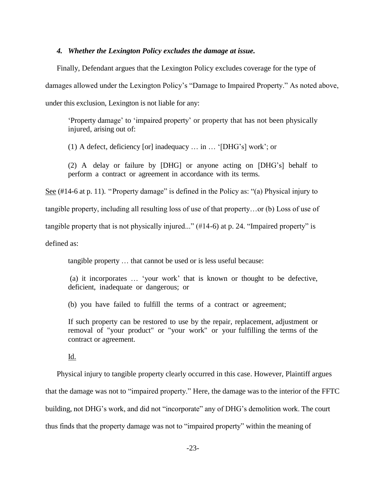### *4. Whether the Lexington Policy excludes the damage at issue.*

Finally, Defendant argues that the Lexington Policy excludes coverage for the type of damages allowed under the Lexington Policy's "Damage to Impaired Property." As noted above, under this exclusion, Lexington is not liable for any:

'Property damage' to 'impaired property' or property that has not been physically injured, arising out of:

(1) A defect, deficiency [or] inadequacy … in … '[DHG's] work'; or

(2) A delay or failure by [DHG] or anyone acting on [DHG's] behalf to perform a contract or agreement in accordance with its terms.

See (#14-6 at p. 11). "Property damage" is defined in the Policy as: "(a) Physical injury to tangible property, including all resulting loss of use of that property…or (b) Loss of use of tangible property that is not physically injured..." (#14-6) at p. 24. "Impaired property" is defined as:

tangible property … that cannot be used or is less useful because:

(a) it incorporates … 'your work' that is known or thought to be defective, deficient, inadequate or dangerous; or

(b) you have failed to fulfill the terms of a contract or agreement;

If such property can be restored to use by the repair, replacement, adjustment or removal of "your product" or "your work" or your fulfilling the terms of the contract or agreement.

# Id.

Physical injury to tangible property clearly occurred in this case. However, Plaintiff argues that the damage was not to "impaired property." Here, the damage was to the interior of the FFTC building, not DHG's work, and did not "incorporate" any of DHG's demolition work. The court thus finds that the property damage was not to "impaired property" within the meaning of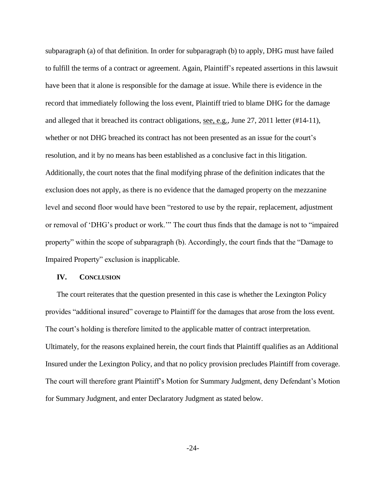subparagraph (a) of that definition. In order for subparagraph (b) to apply, DHG must have failed to fulfill the terms of a contract or agreement. Again, Plaintiff's repeated assertions in this lawsuit have been that it alone is responsible for the damage at issue. While there is evidence in the record that immediately following the loss event, Plaintiff tried to blame DHG for the damage and alleged that it breached its contract obligations, see, e.g., June 27, 2011 letter (#14-11), whether or not DHG breached its contract has not been presented as an issue for the court's resolution, and it by no means has been established as a conclusive fact in this litigation. Additionally, the court notes that the final modifying phrase of the definition indicates that the exclusion does not apply, as there is no evidence that the damaged property on the mezzanine level and second floor would have been "restored to use by the repair, replacement, adjustment or removal of 'DHG's product or work.'" The court thus finds that the damage is not to "impaired property" within the scope of subparagraph (b). Accordingly, the court finds that the "Damage to Impaired Property" exclusion is inapplicable.

## **IV. CONCLUSION**

The court reiterates that the question presented in this case is whether the Lexington Policy provides "additional insured" coverage to Plaintiff for the damages that arose from the loss event. The court's holding is therefore limited to the applicable matter of contract interpretation. Ultimately, for the reasons explained herein, the court finds that Plaintiff qualifies as an Additional Insured under the Lexington Policy, and that no policy provision precludes Plaintiff from coverage. The court will therefore grant Plaintiff's Motion for Summary Judgment, deny Defendant's Motion for Summary Judgment, and enter Declaratory Judgment as stated below.

-24-